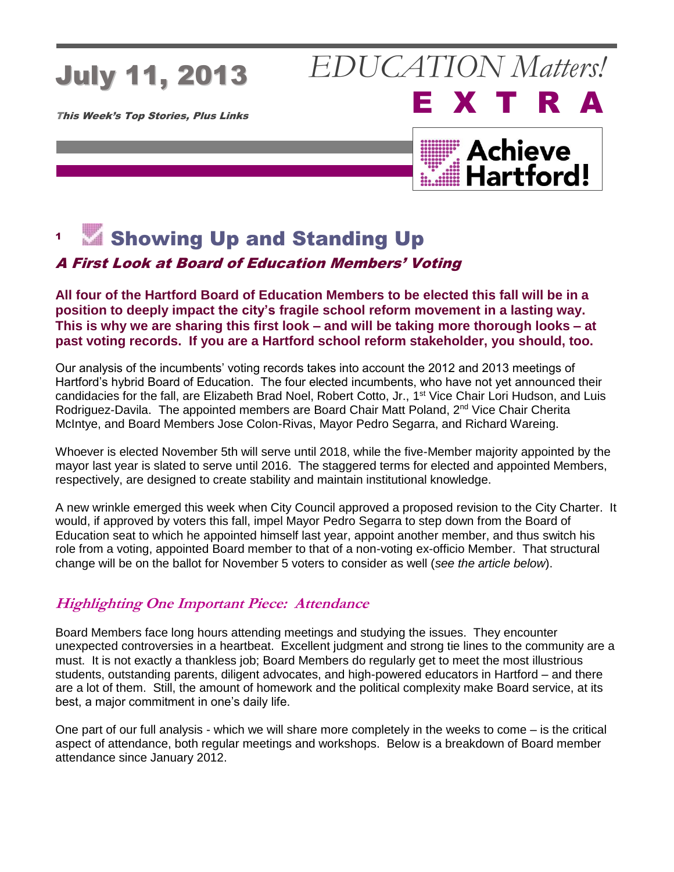# July 11, 2013

This Week's Top Stories, Plus Links

### **Achieve** Hartford!

E X T R A

*EDUCATION Matters!*

#### 1  $M$  Showing Up and Standing Up

### A First Look at Board of Education Members' Voting

#### **All four of the Hartford Board of Education Members to be elected this fall will be in a position to deeply impact the city's fragile school reform movement in a lasting way. This is why we are sharing this first look – and will be taking more thorough looks – at past voting records. If you are a Hartford school reform stakeholder, you should, too.**

Our analysis of the incumbents' voting records takes into account the 2012 and 2013 meetings of Hartford's hybrid Board of Education. The four elected incumbents, who have not yet announced their candidacies for the fall, are Elizabeth Brad Noel, Robert Cotto, Jr., 1<sup>st</sup> Vice Chair Lori Hudson, and Luis Rodriguez-Davila. The appointed members are Board Chair Matt Poland, 2<sup>nd</sup> Vice Chair Cherita McIntye, and Board Members Jose Colon-Rivas, Mayor Pedro Segarra, and Richard Wareing.

Whoever is elected November 5th will serve until 2018, while the five-Member majority appointed by the mayor last year is slated to serve until 2016. The staggered terms for elected and appointed Members, respectively, are designed to create stability and maintain institutional knowledge.

A new wrinkle emerged this week when City Council approved a proposed revision to the City Charter. It would, if approved by voters this fall, impel Mayor Pedro Segarra to step down from the Board of Education seat to which he appointed himself last year, appoint another member, and thus switch his role from a voting, appointed Board member to that of a non-voting ex-officio Member. That structural change will be on the ballot for November 5 voters to consider as well (*see the article below*).

### **Highlighting One Important Piece: Attendance**

Board Members face long hours attending meetings and studying the issues. They encounter unexpected controversies in a heartbeat. Excellent judgment and strong tie lines to the community are a must. It is not exactly a thankless job; Board Members do regularly get to meet the most illustrious students, outstanding parents, diligent advocates, and high-powered educators in Hartford – and there are a lot of them. Still, the amount of homework and the political complexity make Board service, at its best, a major commitment in one's daily life.

One part of our full analysis - which we will share more completely in the weeks to come – is the critical aspect of attendance, both regular meetings and workshops. Below is a breakdown of Board member attendance since January 2012.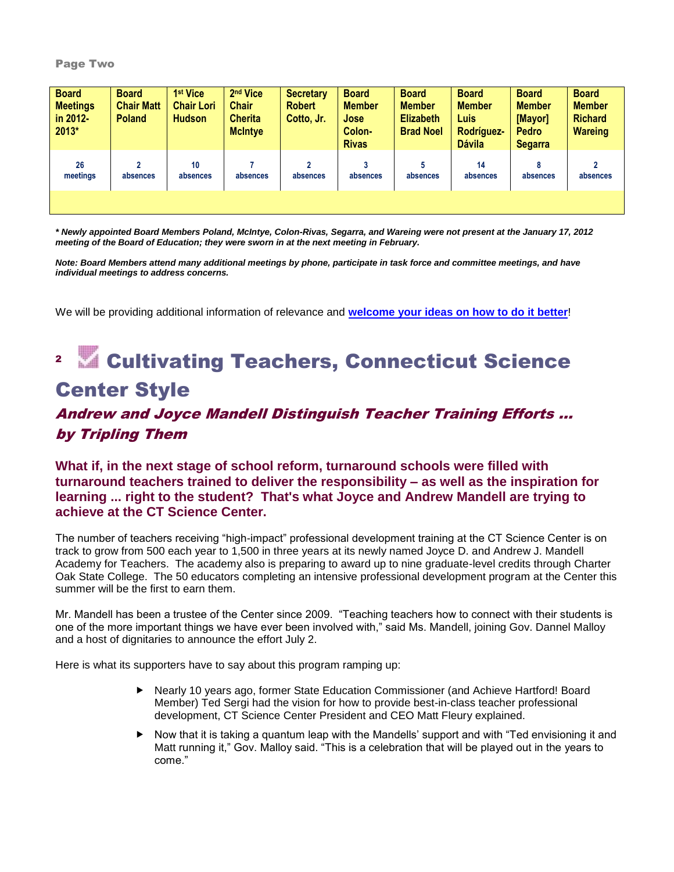#### Page Two

| <b>Board</b><br><b>Meetings</b><br>in 2012-<br>$2013*$ | <b>Board</b><br><b>Chair Matt</b><br><b>Poland</b> | 1 <sup>st</sup> Vice<br><b>Chair Lori</b><br><b>Hudson</b> | 2 <sup>nd</sup> Vice<br><b>Chair</b><br><b>Cherita</b><br><b>McIntye</b> | Secretary<br><b>Robert</b><br>Cotto, Jr. | <b>Board</b><br><b>Member</b><br><b>Jose</b><br>Colon-<br><b>Rivas</b> | <b>Board</b><br><b>Member</b><br><b>Elizabeth</b><br><b>Brad Noel</b> | <b>Board</b><br><b>Member</b><br><b>Luis</b><br>Rodríguez-<br><b>Dávila</b> | <b>Board</b><br><b>Member</b><br>[Mayor]<br><b>Pedro</b><br><b>Segarra</b> | <b>Board</b><br><b>Member</b><br><b>Richard</b><br><b>Wareing</b> |
|--------------------------------------------------------|----------------------------------------------------|------------------------------------------------------------|--------------------------------------------------------------------------|------------------------------------------|------------------------------------------------------------------------|-----------------------------------------------------------------------|-----------------------------------------------------------------------------|----------------------------------------------------------------------------|-------------------------------------------------------------------|
| 26<br>meetings                                         | 2<br>absences                                      | 10<br>absences                                             | absences                                                                 | $\mathfrak z$<br>absences                | o<br>absences                                                          | absences                                                              | 14<br>absences                                                              | 8<br>absences                                                              | $\overline{2}$<br>absences                                        |

*\* Newly appointed Board Members Poland, McIntye, Colon-Rivas, Segarra, and Wareing were not present at the January 17, 2012 meeting of the Board of Education; they were sworn in at the next meeting in February.*

*Note: Board Members attend many additional meetings by phone, participate in task force and committee meetings, and have individual meetings to address concerns.*

We will be providing additional information of relevance and **[welcome your ideas on how to do it better](mailto:info@achievehartford.org)**!

### **2 M** Cultivating Teachers, Connecticut Science Center Style

### Andrew and Joyce Mandell Distinguish Teacher Training Efforts … by Tripling Them

**What if, in the next stage of school reform, turnaround schools were filled with turnaround teachers trained to deliver the responsibility – as well as the inspiration for learning ... right to the student? That's what Joyce and Andrew Mandell are trying to achieve at the CT Science Center.**

The number of teachers receiving "high-impact" professional development training at the CT Science Center is on track to grow from 500 each year to 1,500 in three years at its newly named Joyce D. and Andrew J. Mandell Academy for Teachers. The academy also is preparing to award up to nine graduate-level credits through Charter Oak State College. The 50 educators completing an intensive professional development program at the Center this summer will be the first to earn them.

Mr. Mandell has been a trustee of the Center since 2009. "Teaching teachers how to connect with their students is one of the more important things we have ever been involved with," said Ms. Mandell, joining Gov. Dannel Malloy and a host of dignitaries to announce the effort July 2.

Here is what its supporters have to say about this program ramping up:

- ▶ Nearly 10 years ago, former State Education Commissioner (and Achieve Hartford! Board Member) Ted Sergi had the vision for how to provide best-in-class teacher professional development, CT Science Center President and CEO Matt Fleury explained.
- $\blacktriangleright$  Now that it is taking a quantum leap with the Mandells' support and with "Ted envisioning it and Matt running it," Gov. Malloy said. "This is a celebration that will be played out in the years to come."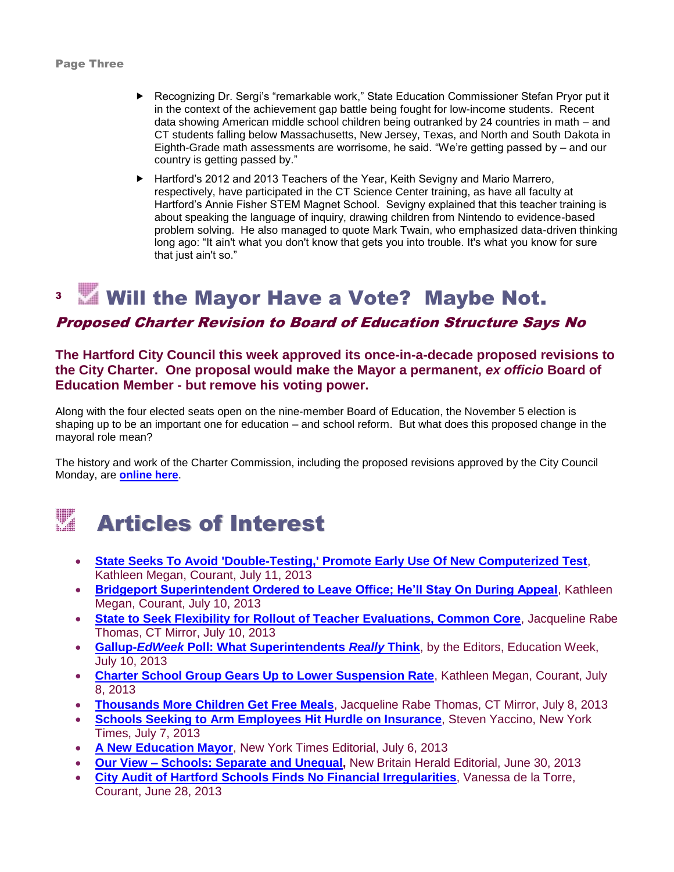- Recognizing Dr. Sergi's "remarkable work," State Education Commissioner Stefan Pryor put it in the context of the achievement gap battle being fought for low-income students. Recent data showing American middle school children being outranked by 24 countries in math – and CT students falling below Massachusetts, New Jersey, Texas, and North and South Dakota in Eighth-Grade math assessments are worrisome, he said. "We're getting passed by – and our country is getting passed by."
- ▶ Hartford's 2012 and 2013 Teachers of the Year, Keith Sevigny and Mario Marrero, respectively, have participated in the CT Science Center training, as have all faculty at Hartford's Annie Fisher STEM Magnet School. Sevigny explained that this teacher training is about speaking the language of inquiry, drawing children from Nintendo to evidence-based problem solving. He also managed to quote Mark Twain, who emphasized data-driven thinking long ago: "It ain't what you don't know that gets you into trouble. It's what you know for sure that just ain't so."

#### 3 Will the Mayor Have a Vote? Maybe Not.

### Proposed Charter Revision to Board of Education Structure Says No

**The Hartford City Council this week approved its once-in-a-decade proposed revisions to the City Charter. One proposal would make the Mayor a permanent,** *ex officio* **Board of Education Member - but remove his voting power.** 

Along with the four elected seats open on the nine-member Board of Education, the November 5 election is shaping up to be an important one for education – and school reform. But what does this proposed change in the mayoral role mean?

The history and work of the Charter Commission, including the proposed revisions approved by the City Council Monday, are **[online here](http://www.hartfordcharter.org/)**.

## Articles of Interest

- **[State Seeks To Avoid 'Double-Testing,' Promote Early Use Of New Computerized Test](http://www.courant.com/news/education/hc-malloy-flexibility-0711-20130710,0,6440898.story)**, Kathleen Megan, Courant, July 11, 2013
- **[Bridgeport Superintendent Ordered to Leave Office; He'll Stay On During Appeal](http://www.courant.com/news/education/hc-vallas-ordered-out-0711-20130710,0,2882358.story)**, Kathleen Megan, Courant, July 10, 2013
- **[State to Seek Flexibility for Rollout of Teacher Evaluations, Common Core](http://www.ctmirror.org/story/state-seek-flexiblity-rollout-teacher-evaluations-common-core)**, Jacqueline Rabe Thomas, CT Mirror, July 10, 2013
- **Gallup-***EdWeek* **[Poll: What Superintendents](http://www.edweek.org/ew/section/infographics/gallup-edweek-superintendents-survey.html?cmp=ENL-EU-NEWS1)** *Really* **Think**, by the Editors, Education Week, July 10, 2013
- **[Charter School Group Gears Up to Lower Suspension Rate](http://www.courant.com/news/education/hc-achievement-first-suspensions-0708-20130705,0,4738000.story)**, Kathleen Megan, Courant, July 8, 2013
- **[Thousands More Children Get Free Meals](http://www.ctmirror.org/story/thousands-more-children-get-free-meals)**, Jacqueline Rabe Thomas, CT Mirror, July 8, 2013
- **[Schools Seeking to Arm Employees Hit Hurdle on Insurance](http://www.nytimes.com/2013/07/08/us/schools-seeking-to-arm-employees-hit-hurdle-on-insurance.html?ref=education&_r=0)**, Steven Yaccino, New York Times, July 7, 2013
- **[A New Education Mayor](http://www.nytimes.com/2013/07/07/opinion/sunday/a-new-education-mayor.html?pagewanted=1&src=recg)**, New York Times Editorial, July 6, 2013
- **Our View – [Schools: Separate and Unequal,](http://m.newbritainherald.com/articles/2013/06/30/opinion/doc51d0dfb292518227119931.txt)** New Britain Herald Editorial, June 30, 2013
- **[City Audit of Hartford Schools Finds No Financial Irregularities](http://www.courant.com/community/hartford/hc-hartford-schools-audit-0629-20130628,0,5403700.story)**, Vanessa de la Torre, Courant, June 28, 2013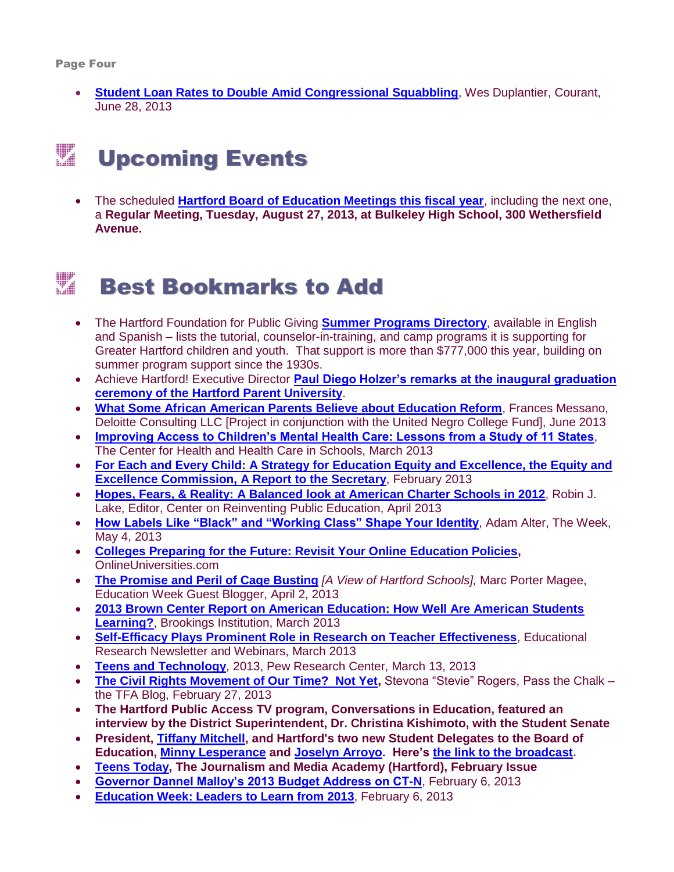**[Student Loan Rates to Double Amid Congressional Squabbling](http://www.courant.com/news/connecticut/hc-student-loans-hike-20130628,0,5270602.story)**, Wes Duplantier, Courant, June 28, 2013

# **Example 2** Upcoming Events

 The scheduled **[Hartford Board of Education Meetings this fiscal year](http://www.hartfordschools.org/files/BoE_Meeting_Dates__Topics_FY_2012_13(2).pdf)**, including the next one, a **Regular Meeting, Tuesday, August 27, 2013, at Bulkeley High School, 300 Wethersfield Avenue.**

## **Example 3 Bookmarks to Add**

- The Hartford Foundation for Public Giving **[Summer Programs Directory](http://www.hfpg.org/WhatsNew/News/NewsArticle/ArticleId/446/Summer-Programs-Directory-Available.aspx)**, available in English and Spanish – lists the tutorial, counselor-in-training, and camp programs it is supporting for Greater Hartford children and youth. That support is more than \$777,000 this year, building on summer program support since the 1930s.
- Achieve Hartford! Executive Director **[Paul Diego Holzer's remarks at the inaugural graduation](http://www.youtube.com/watch?v=QfQ0YQ3pZgE&feature=youtu.be)  [ceremony of the Hartford Parent University](http://www.youtube.com/watch?v=QfQ0YQ3pZgE&feature=youtu.be)**.
- **[What Some African American Parents Believe about Education Reform](http://monitorinstitute.com/blog/2013/06/05/what-some-african-american-parents-believe-about-education-reform/)**, Frances Messano, Deloitte Consulting LLC [Project in conjunction with the United Negro College Fund], June 2013
- **[Improving Access to Children's Mental Health Care: Lessons from a Study of 11 States](http://www.healthinschools.org/en/School-Based-Mental-Health/Eleven-State-Report.aspx)**, The Center for Health and Health Care in Schools, March 2013
- **[For Each and Every Child: A Strategy for Education Equity and Excellence, the Equity and](http://www2.ed.gov/about/bdscomm/list/eec/equity-excellence-commission-report.pdf)  [Excellence Commission, A Report to the Secretary](http://www2.ed.gov/about/bdscomm/list/eec/equity-excellence-commission-report.pdf)**, February 2013
- **[Hopes, Fears, & Reality: A Balanced look at American Charter Schools in 2012](http://www.crpe.org/publications/hopes-fears-reality-balanced-look-american-charter-schools-2012?utm_campaign=HFR%202012&utm_medium=email&utm_source=newsletter&utm_content=%5Bu%27Hopes%2C%27%2C%20u%27Fears%2C%27%2C%20u%27%26%27%2C%20u%27Reality%27%5D)**, Robin J. Lake, Editor, Center on Reinventing Public Education, April 2013
- **[How Labels Like "Black" and "Working Class" Shape Your Identity](http://theweek.com/article/index/243580/how-labels-like-black-and-working-class-shape-your-identity)**, Adam Alter, The Week, May 4, 2013
- **[Colleges Preparing for the Future: Revisit Your Online Education Policies,](http://www.onlineuniversities.com/blog/2013/04/colleges-preparing-for-the-future-revisit-your-online-education-policies/)**  OnlineUniversities.com
- **[The Promise and Peril of Cage Busting](http://blogs.edweek.org/edweek/rick_hess_straight_up/2013/04/the_promise_and_peril_of_cage_busting.html)** *[A View of Hartford Schools],* Marc Porter Magee, Education Week Guest Blogger, April 2, 2013
- **[2013 Brown Center Report on American Education: How Well Are American Students](http://www.brookings.edu/research/reports/2013/03/18-brown-center-report-loveless#ref-id=20130319_Loveless3)  [Learning?](http://www.brookings.edu/research/reports/2013/03/18-brown-center-report-loveless#ref-id=20130319_Loveless3)**, Brookings Institution, March 2013
- **[Self-Efficacy Plays Prominent Role in Research on Teacher Effectiveness](http://www.ernweb.com/public/teacher-self-efficacy-effectiveness.cfm?utm_source=March+Current+articles+2013&utm_campaign=current+articles+March&utm_medium=email)**, Educational Research Newsletter and Webinars, March 2013
- **[Teens and Technology](http://www.pewinternet.org/Reports/2013/Teens-and-Tech.aspx)**, 2013, Pew Research Center, March 13, 2013
- **[The Civil Rights Movement of Our Time? Not Yet,](http://www.teachforamerica.org/blog/civil-rights-movement-our-time-not-yet#.UTTIU5Fqibc.email)** Stevona "Stevie" Rogers, Pass the Chalk the TFA Blog, February 27, 2013
- **The Hartford Public Access TV program, Conversations in Education, featured an interview by the District Superintendent, Dr. Christina Kishimoto, with the Student Senate**
- **President, [Tiffany Mitchell,](http://www.hartfordschools.org/index.php/component/content/article/95-pages/the-student-senate-2012-2013/384-student-senate-bio-tiffany-mitchell-president-2012-2013) and Hartford's two new Student Delegates to the Board of Education, [Minny Lesperance](http://www.hartfordschools.org/index.php/component/content/article/95-pages/the-student-senate-2012-2013/383-student-senate-bio-minoufa-lesperance-delegate-to-the-board-of-education-2012-2013) and [Joselyn Arroyo.](http://www.hartfordschools.org/index.php/component/content/article/95-pages/the-student-senate-2012-2013/381-student-senate-bio-joselyn-arroyo-delegate-to-the-board-of-education-2012-2013) Here's [the link to the broadcast.](http://www.hartfordschools.org/index.php?option=com_content&view=article&layout=edit&id=408)**
- **[Teens Today,](http://my.hsj.org/Schools/Newspaper/tabid/100/view/frontpage/newspaperid/3463/Default.aspx#.URrKZJX6sd8.facebook) The Journalism and Media Academy (Hartford), February Issue**
- **[Governor Dannel Malloy's 2013 Budget Address on CT-N](http://www.ctn.state.ct.us/CTNplayer.asp?odID=8670)**, February 6, 2013
- **[Education Week: Leaders to Learn from 2013](http://ew.edweek.org/nxtbooks/epe/ew_sr_02062013/index.php)**, February 6, 2013